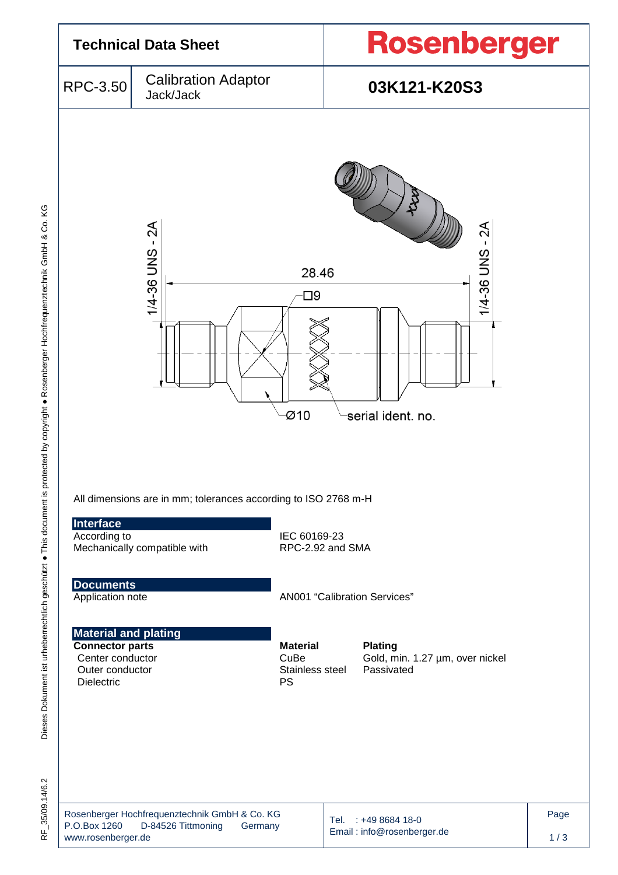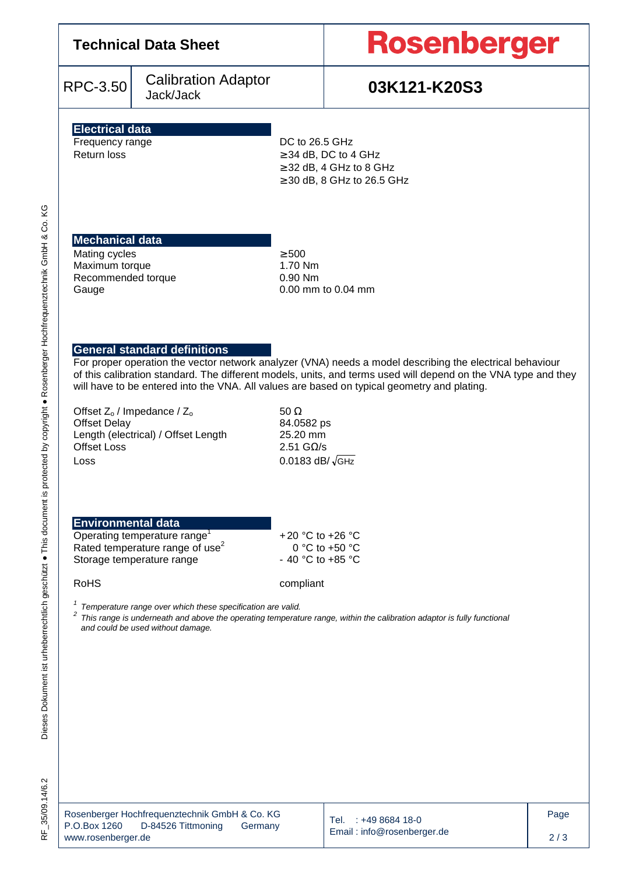RPC-3.50 Calibration Adaptor

# **Rosenberger**

# Jack/Jack **03K121-K20S3**

### **Electrical data**  Frequency range DC to 26.5 GHz

Return loss  $\geq 34$  dB, DC to 4 GHz  $\geq$  32 dB, 4 GHz to 8 GHz ≥ 30 dB, 8 GHz to 26.5 GHz

# **Mechanical data**

Mating cycles  $\geq 500$ Maximum torque 1.70 Nm Recommended torque 0.90 Nm<br>Gauge 0.00 mm

 $0.00$  mm to  $0.04$  mm

## **General standard definitions**

For proper operation the vector network analyzer (VNA) needs a model describing the electrical behaviour of this calibration standard. The different models, units, and terms used will depend on the VNA type and they will have to be entered into the VNA. All values are based on typical geometry and plating.

Offset  $Z_0$  / Impedance /  $Z_0$  50 Ω<br>Offset Delay 50 δ4.0582 ps Offset Delay Length (electrical) / Offset Length 25.20 mm Offset Loss 2.51 GΩ/s  $\frac{1}{\sqrt{GHZ}}$ 

# **Environmental data**

| Operating temperature range <sup>1</sup>    |  |  |  |  |  |
|---------------------------------------------|--|--|--|--|--|
| Rated temperature range of use <sup>2</sup> |  |  |  |  |  |
| Storage temperature range                   |  |  |  |  |  |

 + 20 °C to +26 °C 0 °C to +50 °C - 40 °C to +85 °C

Dieses Dokument ist urheberrechtlich geschützt ● This document is protected by copyright ● Rosenberger Hochfrequenztechnik GmbH & Co. KG

Dieses Dokument ist urheberrechtlich geschützt . This document is protected by copyright . Rosenberger Hochfrequenztechnik GmbH & Co.

KG

RoHS compliant

 $1$  Temperature range over which these specification are valid.

2 This range is underneath and above the operating temperature range, within the calibration adaptor is fully functional and could be used without damage.

| Rosenberger Hochfrequenztechnik GmbH & Co. KG |                    |         |
|-----------------------------------------------|--------------------|---------|
| P.O.Box 1260                                  | D-84526 Tittmoning | Germany |
| www.rosenberger.de                            |                    |         |

Tel. : +49 8684 18-0 Email : info@rosenberger.de